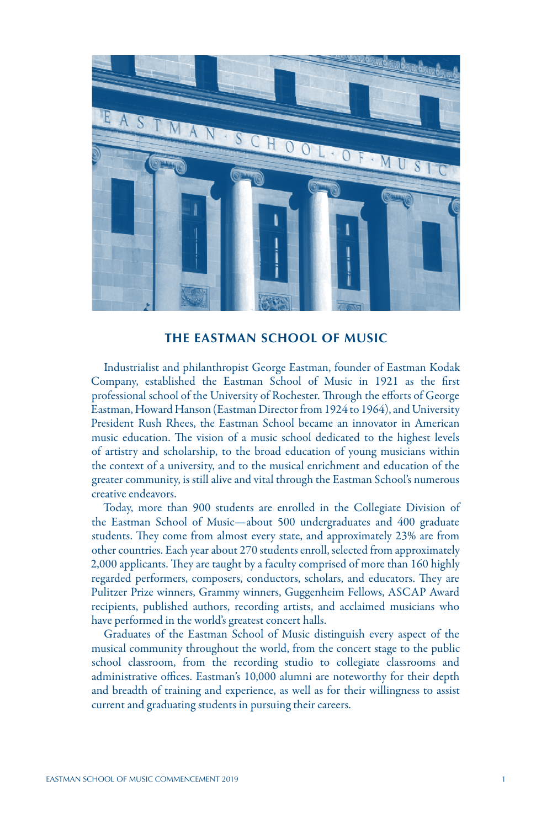

## **THE EASTMAN SCHOOL OF MUSIC**

Industrialist and philanthropist George Eastman, founder of Eastman Kodak Company, established the Eastman School of Music in 1921 as the first professional school of the University of Rochester. Through the efforts of George Eastman, Howard Hanson (Eastman Director from 1924 to 1964), and University President Rush Rhees, the Eastman School became an innovator in American music education. The vision of a music school dedicated to the highest levels of artistry and scholarship, to the broad education of young musicians within the context of a university, and to the musical enrichment and education of the greater community, is still alive and vital through the Eastman School's numerous creative endeavors.

Today, more than 900 students are enrolled in the Collegiate Division of the Eastman School of Music—about 500 undergraduates and 400 graduate students. They come from almost every state, and approximately 23% are from other countries. Each year about 270 students enroll, selected from approximately 2,000 applicants. They are taught by a faculty comprised of more than 160 highly regarded performers, composers, conductors, scholars, and educators. They are Pulitzer Prize winners, Grammy winners, Guggenheim Fellows, ASCAP Award recipients, published authors, recording artists, and acclaimed musicians who have performed in the world's greatest concert halls.

Graduates of the Eastman School of Music distinguish every aspect of the musical community throughout the world, from the concert stage to the public school classroom, from the recording studio to collegiate classrooms and administrative offices. Eastman's 10,000 alumni are noteworthy for their depth and breadth of training and experience, as well as for their willingness to assist current and graduating students in pursuing their careers.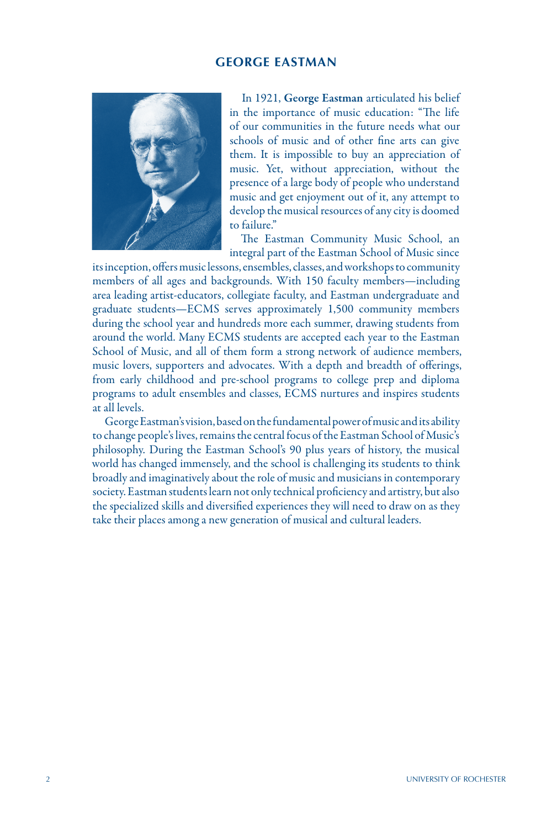## **GEORGE EASTMAN**



In 1921, George Eastman articulated his belief in the importance of music education: "The life of our communities in the future needs what our schools of music and of other fine arts can give them. It is impossible to buy an appreciation of music. Yet, without appreciation, without the presence of a large body of people who understand music and get enjoyment out of it, any attempt to develop the musical resources of any city is doomed to failure."

The Eastman Community Music School, an integral part of the Eastman School of Music since

its inception, offers music lessons, ensembles, classes, and workshops to community members of all ages and backgrounds. With 150 faculty members—including area leading artist-educators, collegiate faculty, and Eastman undergraduate and graduate students—ECMS serves approximately 1,500 community members during the school year and hundreds more each summer, drawing students from around the world. Many ECMS students are accepted each year to the Eastman School of Music, and all of them form a strong network of audience members, music lovers, supporters and advocates. With a depth and breadth of offerings, from early childhood and pre-school programs to college prep and diploma programs to adult ensembles and classes, ECMS nurtures and inspires students at all levels.

George Eastman's vision, based on the fundamental power of music and its ability to change people's lives, remains the central focus of the Eastman School of Music's philosophy. During the Eastman School's 90 plus years of history, the musical world has changed immensely, and the school is challenging its students to think broadly and imaginatively about the role of music and musicians in contemporary society. Eastman students learn not only technical proficiency and artistry, but also the specialized skills and diversified experiences they will need to draw on as they take their places among a new generation of musical and cultural leaders.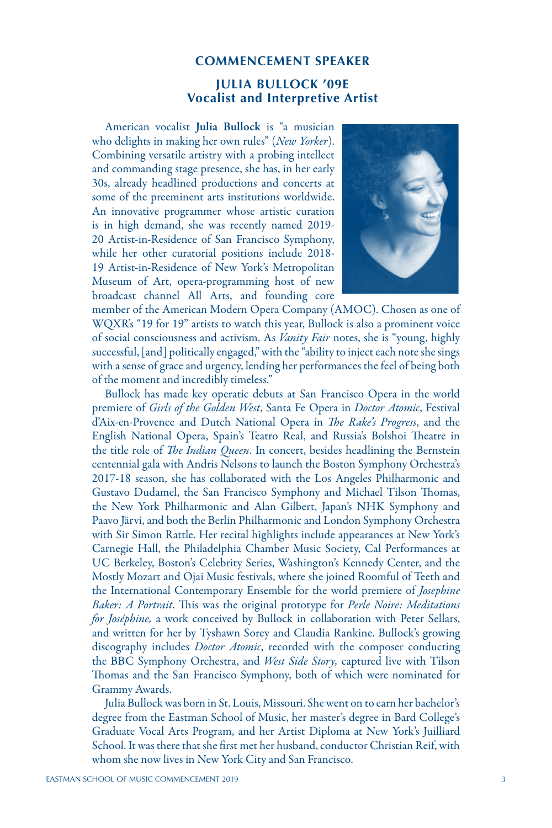#### **COMMENCEMENT SPEAKER**

## **JULIA BULLOCK '09E Vocalist and Interpretive Artist**

American vocalist Julia Bullock is "a musician who delights in making her own rules" (*New Yorker*). Combining versatile artistry with a probing intellect and commanding stage presence, she has, in her early 30s, already headlined productions and concerts at some of the preeminent arts institutions worldwide. An innovative programmer whose artistic curation is in high demand, she was recently named 2019- 20 Artist-in-Residence of San Francisco Symphony, while her other curatorial positions include 2018- 19 Artist-in-Residence of New York's Metropolitan Museum of Art, opera-programming host of new broadcast channel All Arts, and founding core



member of the American Modern Opera Company (AMOC). Chosen as one of WQXR's "19 for 19" artists to watch this year, Bullock is also a prominent voice of social consciousness and activism. As *Vanity Fair* notes, she is "young, highly successful, [and] politically engaged," with the "ability to inject each note she sings with a sense of grace and urgency, lending her performances the feel of being both of the moment and incredibly timeless."

Bullock has made key operatic debuts at San Francisco Opera in the world premiere of *Girls of the Golden West*, Santa Fe Opera in *Doctor Atomic*, Festival d'Aix-en-Provence and Dutch National Opera in *The Rake's Progress*, and the English National Opera, Spain's Teatro Real, and Russia's Bolshoi Theatre in the title role of *The Indian Queen*. In concert, besides headlining the Bernstein centennial gala with Andris Nelsons to launch the Boston Symphony Orchestra's 2017-18 season, she has collaborated with the Los Angeles Philharmonic and Gustavo Dudamel, the San Francisco Symphony and Michael Tilson Thomas, the New York Philharmonic and Alan Gilbert, Japan's NHK Symphony and Paavo Järvi, and both the Berlin Philharmonic and London Symphony Orchestra with Sir Simon Rattle. Her recital highlights include appearances at New York's Carnegie Hall, the Philadelphia Chamber Music Society, Cal Performances at UC Berkeley, Boston's Celebrity Series, Washington's Kennedy Center, and the Mostly Mozart and Ojai Music festivals, where she joined Roomful of Teeth and the International Contemporary Ensemble for the world premiere of *Josephine Baker: A Portrait*. This was the original prototype for *Perle Noire: Meditations for Joséphine,* a work conceived by Bullock in collaboration with Peter Sellars, and written for her by Tyshawn Sorey and Claudia Rankine. Bullock's growing discography includes *Doctor Atomic*, recorded with the composer conducting the BBC Symphony Orchestra, and *West Side Story,* captured live with Tilson Thomas and the San Francisco Symphony, both of which were nominated for Grammy Awards.

Julia Bullock was born in St. Louis, Missouri. She went on to earn her bachelor's degree from the Eastman School of Music, her master's degree in Bard College's Graduate Vocal Arts Program, and her Artist Diploma at New York's Juilliard School. It was there that she first met her husband, conductor Christian Reif, with whom she now lives in New York City and San Francisco.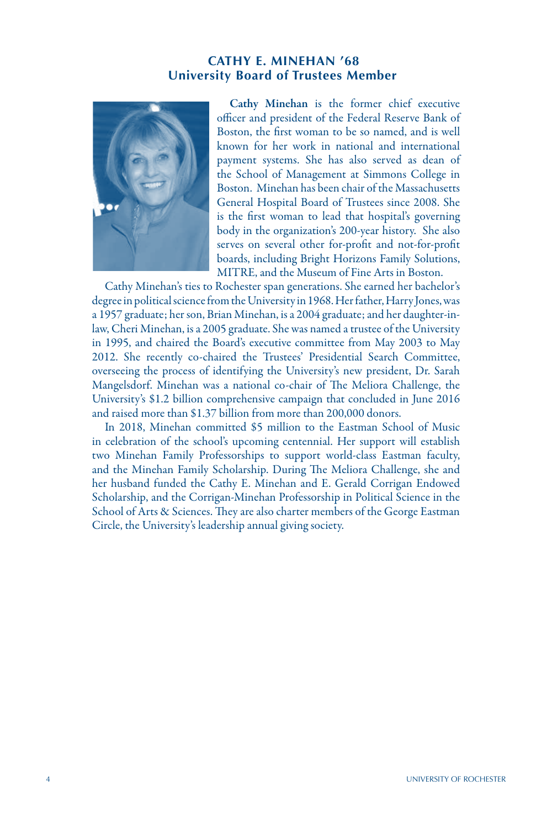# **CATHY E. MINEHAN '68 University Board of Trustees Member**



Cathy Minehan is the former chief executive officer and president of the Federal Reserve Bank of Boston, the first woman to be so named, and is well known for her work in national and international payment systems. She has also served as dean of the School of Management at Simmons College in Boston. Minehan has been chair of the Massachusetts General Hospital Board of Trustees since 2008. She is the first woman to lead that hospital's governing body in the organization's 200-year history. She also serves on several other for-profit and not-for-profit boards, including Bright Horizons Family Solutions, MITRE, and the Museum of Fine Arts in Boston.

Cathy Minehan's ties to Rochester span generations. She earned her bachelor's degree in political science from the University in 1968. Her father, Harry Jones, was a 1957 graduate; her son, Brian Minehan, is a 2004 graduate; and her daughter-inlaw, Cheri Minehan, is a 2005 graduate. She was named a trustee of the University in 1995, and chaired the Board's executive committee from May 2003 to May 2012. She recently co-chaired the Trustees' Presidential Search Committee, overseeing the process of identifying the University's new president, Dr. Sarah Mangelsdorf. Minehan was a national co-chair of The Meliora Challenge, the University's \$1.2 billion comprehensive campaign that concluded in June 2016 and raised more than \$1.37 billion from more than 200,000 donors.

In 2018, Minehan committed \$5 million to the Eastman School of Music in celebration of the school's upcoming centennial. Her support will establish two Minehan Family Professorships to support world-class Eastman faculty, and the Minehan Family Scholarship. During The Meliora Challenge, she and her husband funded the Cathy E. Minehan and E. Gerald Corrigan Endowed Scholarship, and the Corrigan-Minehan Professorship in Political Science in the School of Arts & Sciences. They are also charter members of the George Eastman Circle, the University's leadership annual giving society.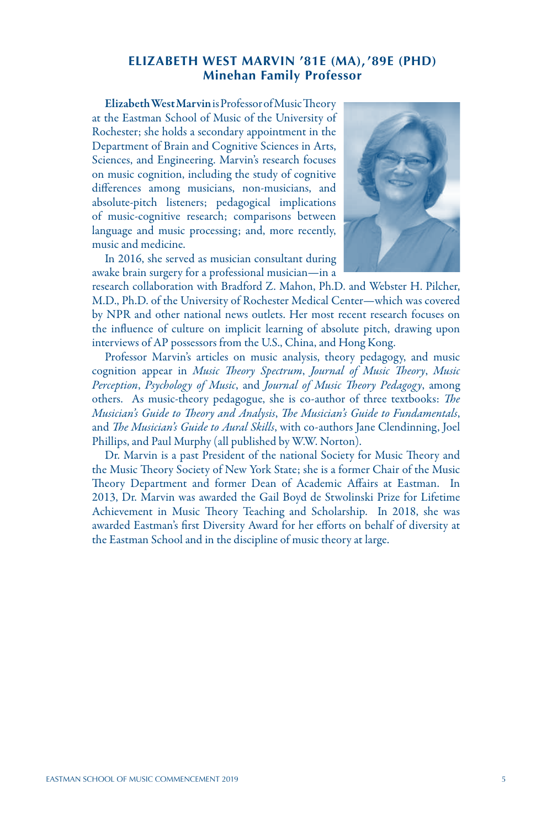# **ELIZABETH WEST MARVIN '81E (MA), '89E (PHD) Minehan Family Professor**

Elizabeth West Marvin is Professor of Music Theory at the Eastman School of Music of the University of Rochester; she holds a secondary appointment in the Department of Brain and Cognitive Sciences in Arts, Sciences, and Engineering. Marvin's research focuses on music cognition, including the study of cognitive differences among musicians, non-musicians, and absolute-pitch listeners; pedagogical implications of music-cognitive research; comparisons between language and music processing; and, more recently, music and medicine.

In 2016, she served as musician consultant during awake brain surgery for a professional musician—in a



research collaboration with Bradford Z. Mahon, Ph.D. and Webster H. Pilcher, M.D., Ph.D. of the University of Rochester Medical Center—which was covered by NPR and other national news outlets. Her most recent research focuses on the influence of culture on implicit learning of absolute pitch, drawing upon interviews of AP possessors from the U.S., China, and Hong Kong.

Professor Marvin's articles on music analysis, theory pedagogy, and music cognition appear in *Music Theory Spectrum*, *Journal of Music Theory*, *Music Perception*, *Psychology of Music*, and *Journal of Music Theory Pedagogy*, among others. As music-theory pedagogue, she is co-author of three textbooks: *The Musician's Guide to Theory and Analysis*, *The Musician's Guide to Fundamentals*, and *The Musician's Guide to Aural Skills*, with co-authors Jane Clendinning, Joel Phillips, and Paul Murphy (all published by W.W. Norton).

Dr. Marvin is a past President of the national Society for Music Theory and the Music Theory Society of New York State; she is a former Chair of the Music Theory Department and former Dean of Academic Affairs at Eastman. In 2013, Dr. Marvin was awarded the Gail Boyd de Stwolinski Prize for Lifetime Achievement in Music Theory Teaching and Scholarship. In 2018, she was awarded Eastman's first Diversity Award for her efforts on behalf of diversity at the Eastman School and in the discipline of music theory at large.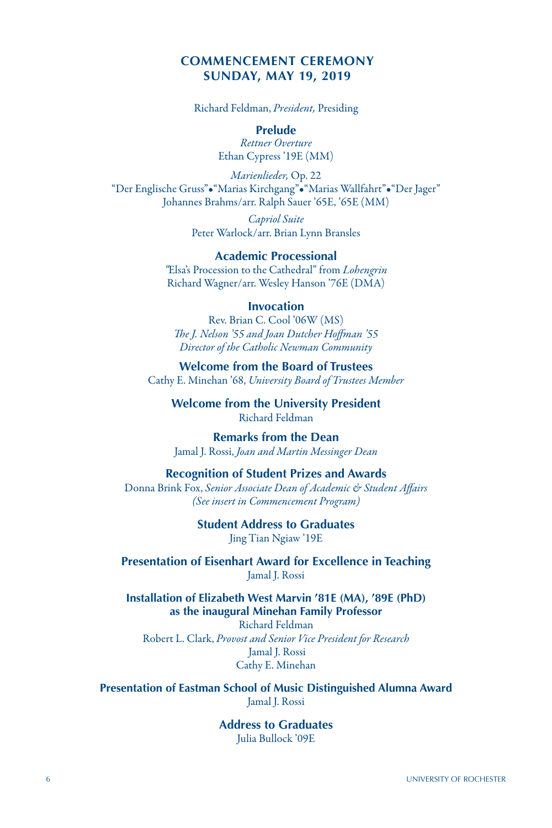# **COMMENCEMENT CEREMONY SUNDAY, MAY 19, 2019**

Richard Feldman, *President,* Presiding

**Prelude**

*Rettner Overture* Ethan Cypress '19E (MM)

*Marienlieder,* Op. 22 "Der Englische Gruss"•"Marias Kirchgang"•"Marias Wallfahrt"•"Der Jager" Johannes Brahms/arr. Ralph Sauer '65E, '65E (MM)

> *Capriol Suite* Peter Warlock/arr. Brian Lynn Bransles

**Academic Processional** *"*Elsa's Procession to the Cathedral" from *Lohengrin* Richard Wagner/arr. Wesley Hanson '76E (DMA)

#### **Invocation**

Rev. Brian C. Cool '06W (MS) *The J. Nelson '55 and Joan Dutcher Hoffman '55 Director of the Catholic Newman Community*

**Welcome from the Board of Trustees** Cathy E. Minehan '68, *University Board of Trustees Member*

**Welcome from the University President** Richard Feldman

**Remarks from the Dean** Jamal J. Rossi, *Joan and Martin Messinger Dean*

#### **Recognition of Student Prizes and Awards**

Donna Brink Fox, *Senior Associate Dean of Academic & Student Affairs (See insert in Commencement Program)*

> **Student Address to Graduates** Jing Tian Ngiaw '19E

**Presentation of Eisenhart Award for Excellence in Teaching** Jamal J. Rossi

**Installation of Elizabeth West Marvin '81E (MA), '89E (PhD) as the inaugural Minehan Family Professor**

Richard Feldman Robert L. Clark, *Provost and Senior Vice President for Research* Jamal J. Rossi Cathy E. Minehan

**Presentation of Eastman School of Music Distinguished Alumna Award** Jamal J. Rossi

> **Address to Graduates** Julia Bullock '09E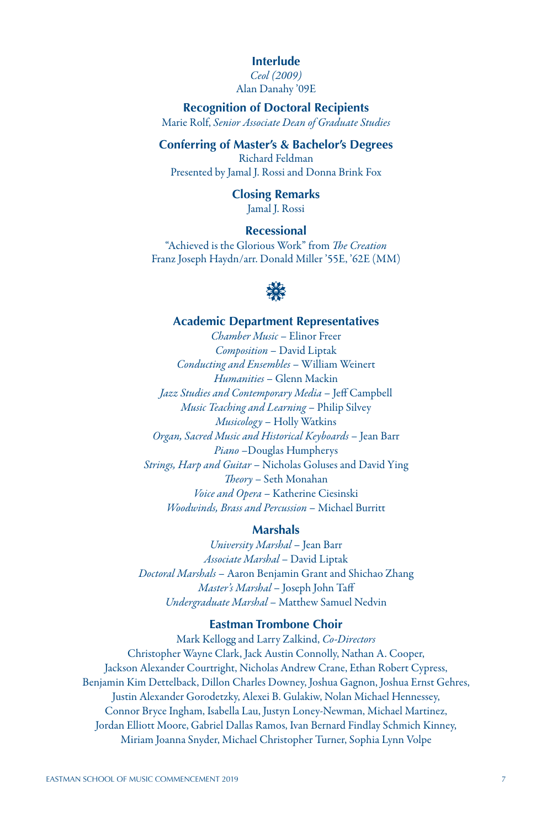## **Interlude**

*Ceol (2009)* Alan Danahy '09E

**Recognition of Doctoral Recipients** Marie Rolf, *Senior Associate Dean of Graduate Studies*

## **Conferring of Master's & Bachelor's Degrees**

Richard Feldman Presented by Jamal J. Rossi and Donna Brink Fox

# **Closing Remarks**

Jamal J. Rossi

# **Recessional**

"Achieved is the Glorious Work" from *The Creation* Franz Joseph Haydn/arr. Donald Miller '55E, '62E (MM)



#### **Academic Department Representatives**

*Chamber Music* – Elinor Freer *Composition* – David Liptak *Conducting and Ensembles* – William Weinert *Humanities* – Glenn Mackin *Jazz Studies and Contemporary Media* – Jeff Campbell *Music Teaching and Learning* – Philip Silvey *Musicology* – Holly Watkins *Organ, Sacred Music and Historical Keyboards* – Jean Barr *Piano* –Douglas Humpherys *Strings, Harp and Guitar* – Nicholas Goluses and David Ying *Theory* – Seth Monahan *Voice and Opera* – Katherine Ciesinski *Woodwinds, Brass and Percussion* – Michael Burritt

#### **Marshals**

*University Marshal* – Jean Barr *Associate Marshal* – David Liptak *Doctoral Marshals* – Aaron Benjamin Grant and Shichao Zhang *Master's Marshal* – Joseph John Taff *Undergraduate Marshal* – Matthew Samuel Nedvin

### **Eastman Trombone Choir**

Mark Kellogg and Larry Zalkind, *Co-Directors* Christopher Wayne Clark, Jack Austin Connolly, Nathan A. Cooper, Jackson Alexander Courtright, Nicholas Andrew Crane, Ethan Robert Cypress, Benjamin Kim Dettelback, Dillon Charles Downey, Joshua Gagnon, Joshua Ernst Gehres, Justin Alexander Gorodetzky, Alexei B. Gulakiw, Nolan Michael Hennessey, Connor Bryce Ingham, Isabella Lau, Justyn Loney-Newman, Michael Martinez, Jordan Elliott Moore, Gabriel Dallas Ramos, Ivan Bernard Findlay Schmich Kinney, Miriam Joanna Snyder, Michael Christopher Turner, Sophia Lynn Volpe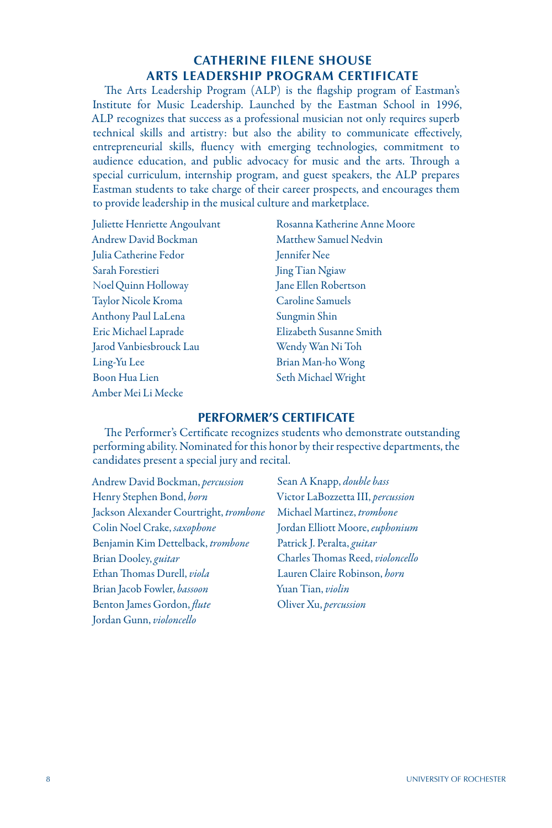# **CATHERINE FILENE SHOUSE ARTS LEADERSHIP PROGRAM CERTIFICATE**

The Arts Leadership Program (ALP) is the flagship program of Eastman's Institute for Music Leadership. Launched by the Eastman School in 1996, ALP recognizes that success as a professional musician not only requires superb technical skills and artistry: but also the ability to communicate effectively, entrepreneurial skills, fluency with emerging technologies, commitment to audience education, and public advocacy for music and the arts. Through a special curriculum, internship program, and guest speakers, the ALP prepares Eastman students to take charge of their career prospects, and encourages them to provide leadership in the musical culture and marketplace.

Andrew David Bockman Matthew Samuel Nedvin Julia Catherine Fedor Jennifer Nee Sarah Forestieri Manus Jing Tian Ngiaw Noel uinn Holloway Jane Ellen Robertson Q Taylor Nicole Kroma Caroline Samuels Anthony Paul LaLena Sungmin Shin Eric Michael Laprade Elizabeth Susanne Smith Jarod Vanbiesbrouck Lau Wendy Wan Ni Toh Ling-Yu Lee Brian Man-ho Wong Boon Hua Lien Seth Michael Wright Amber Mei Li Mecke

Juliette Henriette Angoulvant Rosanna Katherine Anne Moore

## **PERFORMER'S CERTIFICATE**

The Performer's Certificate recognizes students who demonstrate outstanding performing ability. Nominated for this honor by their respective departments, the candidates present a special jury and recital.

Andrew David Bockman, *percussion* Henry Stephen Bond, *horn* Jackson Alexander Courtright, *trombone* Colin Noel Crake, *saxophone* Benjamin Kim Dettelback, *trombone*  Brian Dooley, *guitar*  Ethan Thomas Durell, *viola* Brian Jacob Fowler, *bassoon* Benton James Gordon, *flute* Jordan Gunn, *violoncello*

Sean A Knapp, *double bass* Victor LaBozzetta III, *percussion* Michael Martinez, *trombone* Jordan Elliott Moore, *euphonium* Patrick J. Peralta, *guitar* Charles Thomas Reed, *violoncello* Lauren Claire Robinson, *horn* Yuan Tian, *violin* Oliver Xu, *percussion*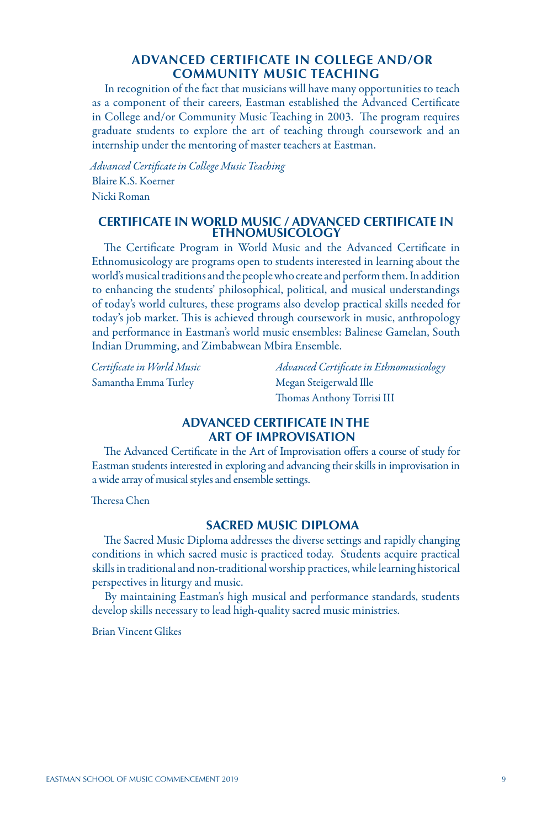# **ADVANCED CERTIFICATE IN COLLEGE AND/OR COMMUNITY MUSIC TEACHING**

In recognition of the fact that musicians will have many opportunities to teach as a component of their careers, Eastman established the Advanced Certificate in College and/or Community Music Teaching in 2003. The program requires graduate students to explore the art of teaching through coursework and an internship under the mentoring of master teachers at Eastman.

*Advanced Certificate in College Music Teaching* Blaire K.S. Koerner Nicki Roman

#### **CERTIFICATE IN WORLD MUSIC / ADVANCED CERTIFICATE IN ETHNOMUSICOLOGY**

The Certificate Program in World Music and the Advanced Certificate in Ethnomusicology are programs open to students interested in learning about the world's musical traditions and the people who create and perform them. In addition to enhancing the students' philosophical, political, and musical understandings of today's world cultures, these programs also develop practical skills needed for today's job market. This is achieved through coursework in music, anthropology and performance in Eastman's world music ensembles: Balinese Gamelan, South Indian Drumming, and Zimbabwean Mbira Ensemble.

Samantha Emma Turley Megan Steigerwald Ille

*Certificate in World Music Advanced Certificate in Ethnomusicology* Thomas Anthony Torrisi III

## **ADVANCED CERTIFICATE IN THE ART OF IMPROVISATION**

The Advanced Certificate in the Art of Improvisation offers a course of study for Eastman students interested in exploring and advancing their skills in improvisation in a wide array of musical styles and ensemble settings.

Theresa Chen

#### **SACRED MUSIC DIPLOMA**

The Sacred Music Diploma addresses the diverse settings and rapidly changing conditions in which sacred music is practiced today. Students acquire practical skills in traditional and non-traditional worship practices, while learning historical perspectives in liturgy and music.

By maintaining Eastman's high musical and performance standards, students develop skills necessary to lead high-quality sacred music ministries.

Brian Vincent Glikes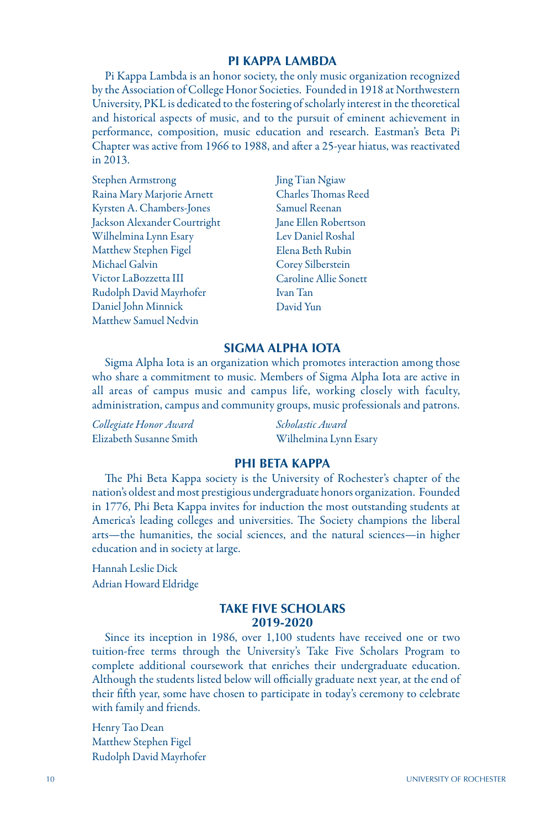#### **PI KAPPA LAMBDA**

Pi Kappa Lambda is an honor society, the only music organization recognized by the Association of College Honor Societies. Founded in 1918 at Northwestern University, PKL is dedicated to the fostering of scholarly interest in the theoretical and historical aspects of music, and to the pursuit of eminent achievement in performance, composition, music education and research. Eastman's Beta Pi Chapter was active from 1966 to 1988, and after a 25-year hiatus, was reactivated in 2013.

- Stephen Armstrong Raina Mary Marjorie Arnett Kyrsten A. Chambers-Jones Jackson Alexander Courtright Wilhelmina Lynn Esary Matthew Stephen Figel Michael Galvin Victor LaBozzetta III Rudolph David Mayrhofer Daniel John Minnick Matthew Samuel Nedvin
- Jing Tian Ngiaw Charles Thomas Reed Samuel Reenan Jane Ellen Robertson Lev Daniel Roshal Elena Beth Rubin Corey Silberstein Caroline Allie Sonett Ivan Tan David Yun

#### **SIGMA ALPHA IOTA**

Sigma Alpha Iota is an organization which promotes interaction among those who share a commitment to music. Members of Sigma Alpha Iota are active in all areas of campus music and campus life, working closely with faculty, administration, campus and community groups, music professionals and patrons.

| Collegiate Honor Award  | Scholastic Award      |
|-------------------------|-----------------------|
| Elizabeth Susanne Smith | Wilhelmina Lynn Esary |

#### **PHI BETA KAPPA**

The Phi Beta Kappa society is the University of Rochester's chapter of the nation's oldest and most prestigious undergraduate honors organization. Founded in 1776, Phi Beta Kappa invites for induction the most outstanding students at America's leading colleges and universities. The Society champions the liberal arts—the humanities, the social sciences, and the natural sciences—in higher education and in society at large.

Hannah Leslie Dick Adrian Howard Eldridge

#### **TAKE FIVE SCHOLARS 2019-2020**

Since its inception in 1986, over 1,100 students have received one or two tuition-free terms through the University's Take Five Scholars Program to complete additional coursework that enriches their undergraduate education. Although the students listed below will officially graduate next year, at the end of their fifth year, some have chosen to participate in today's ceremony to celebrate with family and friends.

Henry Tao Dean Matthew Stephen Figel Rudolph David Mayrhofer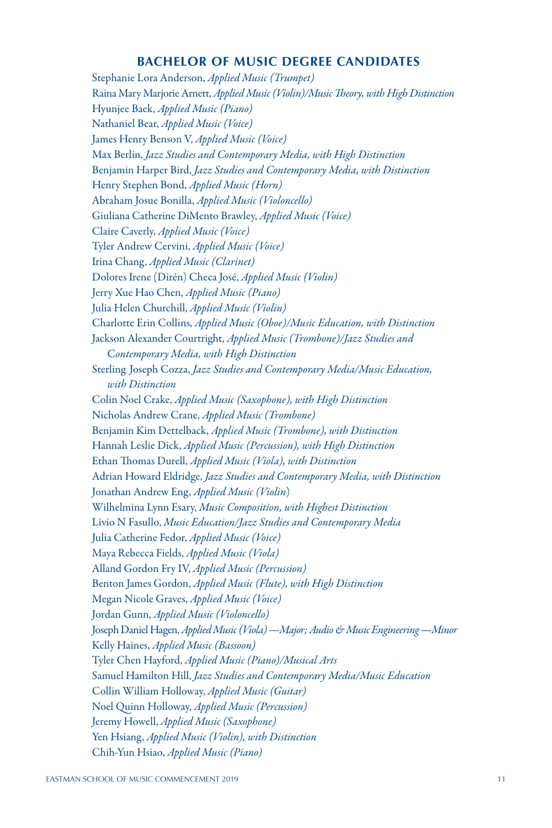## **BACHELOR OF MUSIC DEGREE CANDIDATES**

Stephanie Lora Anderson, *Applied Music (Trumpet)* Raina Mary Marjorie Arnett, *Applied Music (Violin)/Music Theory, with High Distinction* Hyunjee Baek, *Applied Music (Piano)* Nathaniel Bear, *Applied Music (Voice)* James Henry Benson V, *Applied Music (Voice)* Max Berlin, *Jazz Studies and Contemporary Media, with High Distinction* Benjamin Harper Bird, *Jazz Studies and Contemporary Media, with Distinction* Henry Stephen Bond, *Applied Music (Horn)* Abraham Josue Bonilla, *Applied Music (Violoncello)* Giuliana Catherine DiMento Brawley, *Applied Music (Voice)* Claire Caverly, *Applied Music (Voice)* Tyler Andrew Cervini, *Applied Music (Voice)* Irina Chang, *Applied Music (Clarinet)* Dolores Irene (Dirén) Checa José, *Applied Music (Violin)* Jerry Xue Hao Chen, *Applied Music (Piano)* Julia Helen Churchill, *Applied Music (Violin)* Charlotte Erin Collins, *Applied Music (Oboe)/Music Education, with Distinction* Jackson Alexander Courtright, *Applied Music (Trombone)/Jazz Studies and* C*ontemporary Media, with High Distinction* Sterling Joseph Cozza, *Jazz Studies and Contemporary Media/Music Education, with Distinction* Colin Noel Crake, *Applied Music (Saxophone), with High Distinction* Nicholas Andrew Crane, *Applied Music (Trombone)* Benjamin Kim Dettelback, *Applied Music (Trombone), with Distinction* Hannah Leslie Dick, *Applied Music (Percussion), with High Distinction* Ethan Thomas Durell, *Applied Music (Viola), with Distinction* Adrian Howard Eldridge, *Jazz Studies and Contemporary Media, with Distinction* Jonathan Andrew Eng, *Applied Music (Violin*) Wilhelmina Lynn Esary, *Music Composition, with Highest Distinction* Livio N Fasullo, *Music Education/Jazz Studies and Contemporary Media* Julia Catherine Fedor, *Applied Music (Voice)* Maya Rebecca Fields, *Applied Music (Viola)* Alland Gordon Fry IV, *Applied Music (Percussion)* Benton James Gordon, *Applied Music (Flute), with High Distinction* Megan Nicole Graves, *Applied Music (Voice)* Jordan Gunn, *Applied Music (Violoncello)* Joseph Daniel Hagen, *Applied Music (Viola) —Major; Audio & Music Engineering* —*Minor* Kelly Haines, *Applied Music (Bassoon)* Tyler Chen Hayford, *Applied Music (Piano)/Musical Arts* Samuel Hamilton Hill, *Jazz Studies and Contemporary Media/Music Education* Collin William Holloway, *Applied Music (Guitar)* Noel Quinn Holloway, *Applied Music (Percussion)* Jeremy Howell, *Applied Music (Saxophone)* Yen Hsiang, *Applied Music (Violin), with Distinction* Chih-Yun Hsiao, *Applied Music (Piano)*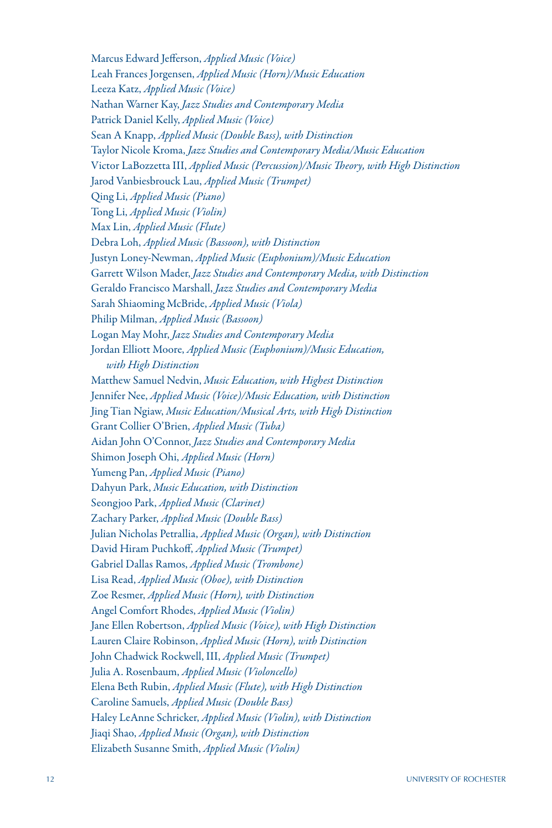Marcus Edward Jefferson, *Applied Music (Voice)* Leah Frances Jorgensen, *Applied Music (Horn)/Music Education* Leeza Katz, *Applied Music (Voice)* Nathan Warner Kay, *Jazz Studies and Contemporary Media*  Patrick Daniel Kelly, *Applied Music (Voice)* Sean A Knapp, *Applied Music (Double Bass), with Distinction* Taylor Nicole Kroma, *Jazz Studies and Contemporary Media/Music Education* Victor LaBozzetta III, *Applied Music (Percussion)/Music Theory, with High Distinction* Jarod Vanbiesbrouck Lau, *Applied Music (Trumpet)* Qing Li, *Applied Music (Piano)* Tong Li, *Applied Music (Violin)* Max Lin, *Applied Music (Flute)* Debra Loh, *Applied Music (Bassoon), with Distinction* Justyn Loney-Newman, *Applied Music (Euphonium)/Music Education* Garrett Wilson Mader, *Jazz Studies and Contemporary Media, with Distinction* Geraldo Francisco Marshall, *Jazz Studies and Contemporary Media*  Sarah Shiaoming McBride, *Applied Music (Viola)* Philip Milman, *Applied Music (Bassoon)* Logan May Mohr, *Jazz Studies and Contemporary Media*  Jordan Elliott Moore, *Applied Music (Euphonium)/Music Education, with High Distinction* Matthew Samuel Nedvin, *Music Education, with Highest Distinction* Jennifer Nee, *Applied Music (Voice)/Music Education, with Distinction* Jing Tian Ngiaw, *Music Education/Musical Arts, with High Distinction* Grant Collier O'Brien, *Applied Music (Tuba)* Aidan John O'Connor, *Jazz Studies and Contemporary Media* Shimon Joseph Ohi, *Applied Music (Horn)* Yumeng Pan, *Applied Music (Piano)* Dahyun Park, *Music Education, with Distinction* Seongjoo Park, *Applied Music (Clarinet)* Zachary Parker, *Applied Music (Double Bass)* Julian Nicholas Petrallia, *Applied Music (Organ), with Distinction* David Hiram Puchkoff, *Applied Music (Trumpet)* Gabriel Dallas Ramos, *Applied Music (Trombone)* Lisa Read, *Applied Music (Oboe), with Distinction* Zoe Resmer, *Applied Music (Horn), with Distinction* Angel Comfort Rhodes, *Applied Music (Violin)* Jane Ellen Robertson, *Applied Music (Voice), with High Distinction* Lauren Claire Robinson, *Applied Music (Horn), with Distinction* John Chadwick Rockwell, III, *Applied Music (Trumpet)* Julia A. Rosenbaum, *Applied Music (Violoncello)* Elena Beth Rubin, *Applied Music (Flute), with High Distinction* Caroline Samuels, *Applied Music (Double Bass)* Haley LeAnne Schricker, *Applied Music (Violin), with Distinction* Jiaqi Shao, *Applied Music (Organ), with Distinction* Elizabeth Susanne Smith, *Applied Music (Violin)*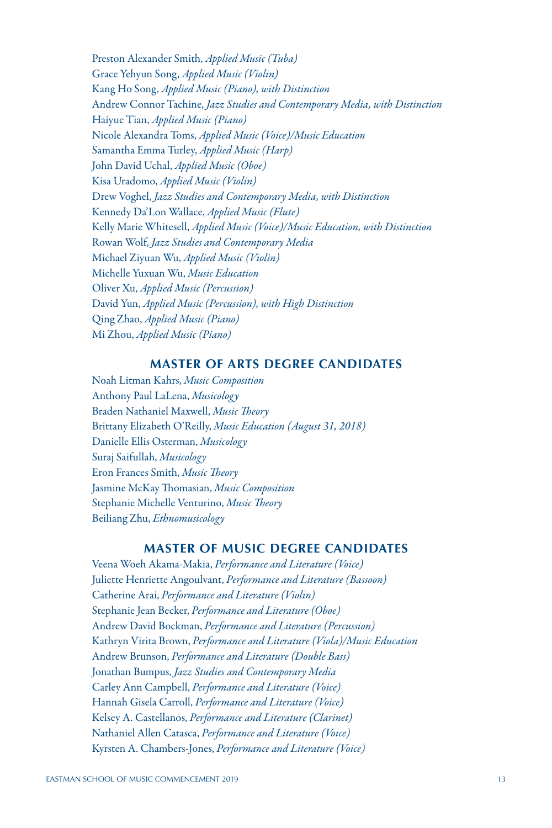Preston Alexander Smith, *Applied Music (Tuba)* Grace Yehyun Song, *Applied Music (Violin)* Kang Ho Song, *Applied Music (Piano), with Distinction* Andrew Connor Tachine, *Jazz Studies and Contemporary Media, with Distinction* Haiyue Tian, *Applied Music (Piano)* Nicole Alexandra Toms, *Applied Music (Voice)/Music Education* Samantha Emma Turley, *Applied Music (Harp)* John David Uchal, *Applied Music (Oboe)* Kisa Uradomo, *Applied Music (Violin)* Drew Voghel, *Jazz Studies and Contemporary Media, with Distinction* Kennedy Da'Lon Wallace, *Applied Music (Flute)* Kelly Marie Whitesell, *Applied Music (Voice)/Music Education, with Distinction* Rowan Wolf, *Jazz Studies and Contemporary Media*  Michael Ziyuan Wu, *Applied Music (Violin)* Michelle Yuxuan Wu, *Music Education*  Oliver Xu, *Applied Music (Percussion)* David Yun, *Applied Music (Percussion), with High Distinction* Qing Zhao, *Applied Music (Piano)* Mi Zhou, *Applied Music (Piano)*

## **MASTER OF ARTS DEGREE CANDIDATES**

Noah Litman Kahrs, *Music Composition*  Anthony Paul LaLena, *Musicology*  Braden Nathaniel Maxwell, *Music Theory*  Brittany Elizabeth O'Reilly, *Music Education (August 31, 2018)* Danielle Ellis Osterman, *Musicology*  Suraj Saifullah, *Musicology*  Eron Frances Smith, *Music Theory*  Jasmine McKay Thomasian, *Music Composition*  Stephanie Michelle Venturino, *Music Theory*  Beiliang Zhu, *Ethnomusicology* 

# **MASTER OF MUSIC DEGREE CANDIDATES**

Veena Woeh Akama-Makia, *Performance and Literature (Voice)* Juliette Henriette Angoulvant, *Performance and Literature (Bassoon)* Catherine Arai, *Performance and Literature (Violin)* Stephanie Jean Becker, *Performance and Literature (Oboe)* Andrew David Bockman, *Performance and Literature (Percussion)* Kathryn Virita Brown, *Performance and Literature (Viola)/Music Education* Andrew Brunson, *Performance and Literature (Double Bass)* Jonathan Bumpus, *Jazz Studies and Contemporary Media*  Carley Ann Campbell, *Performance and Literature (Voice)* Hannah Gisela Carroll, *Performance and Literature (Voice)* Kelsey A. Castellanos, *Performance and Literature (Clarinet)* Nathaniel Allen Catasca, *Performance and Literature (Voice)* Kyrsten A. Chambers-Jones, *Performance and Literature (Voice)*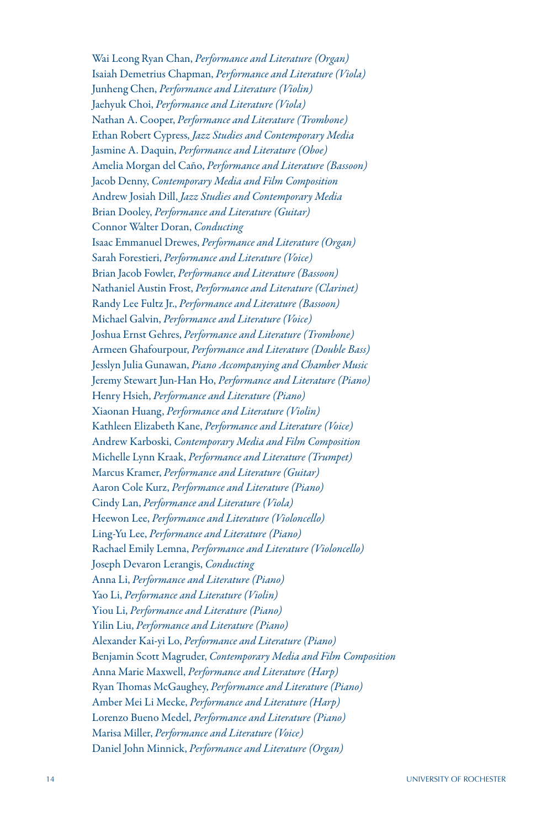Wai Leong Ryan Chan, *Performance and Literature (Organ)* Isaiah Demetrius Chapman, *Performance and Literature (Viola)* Junheng Chen, *Performance and Literature (Violin)* Jaehyuk Choi, *Performance and Literature (Viola)* Nathan A. Cooper, *Performance and Literature (Trombone)* Ethan Robert Cypress, *Jazz Studies and Contemporary Media*  Jasmine A. Daquin, *Performance and Literature (Oboe)* Amelia Morgan del Caño, *Performance and Literature (Bassoon)* Jacob Denny, *Contemporary Media and Film Composition*  Andrew Josiah Dill, *Jazz Studies and Contemporary Media*  Brian Dooley, *Performance and Literature (Guitar)* Connor Walter Doran, *Conducting*  Isaac Emmanuel Drewes, *Performance and Literature (Organ)* Sarah Forestieri, *Performance and Literature (Voice)* Brian Jacob Fowler, *Performance and Literature (Bassoon)* Nathaniel Austin Frost, *Performance and Literature (Clarinet)* Randy Lee Fultz Jr., *Performance and Literature (Bassoon)* Michael Galvin, *Performance and Literature (Voice)* Joshua Ernst Gehres, *Performance and Literature (Trombone)* Armeen Ghafourpour, *Performance and Literature (Double Bass)* Jesslyn Julia Gunawan, *Piano Accompanying and Chamber Music*  Jeremy Stewart Jun-Han Ho, *Performance and Literature (Piano)* Henry Hsieh, *Performance and Literature (Piano)* Xiaonan Huang, *Performance and Literature (Violin)* Kathleen Elizabeth Kane, *Performance and Literature (Voice)* Andrew Karboski, *Contemporary Media and Film Composition*  Michelle Lynn Kraak, *Performance and Literature (Trumpet)* Marcus Kramer, *Performance and Literature (Guitar)* Aaron Cole Kurz, *Performance and Literature (Piano)* Cindy Lan, *Performance and Literature (Viola)* Heewon Lee, *Performance and Literature (Violoncello)* Ling-Yu Lee, *Performance and Literature (Piano)* Rachael Emily Lemna, *Performance and Literature (Violoncello)* Joseph Devaron Lerangis, *Conducting*  Anna Li, *Performance and Literature (Piano)* Yao Li, *Performance and Literature (Violin)* Yiou Li, *Performance and Literature (Piano)* Yilin Liu, *Performance and Literature (Piano)* Alexander Kai-yi Lo, *Performance and Literature (Piano)* Benjamin Scott Magruder, *Contemporary Media and Film Composition*  Anna Marie Maxwell, *Performance and Literature (Harp)* Ryan Thomas McGaughey, *Performance and Literature (Piano)* Amber Mei Li Mecke, *Performance and Literature (Harp)* Lorenzo Bueno Medel, *Performance and Literature (Piano)* Marisa Miller, *Performance and Literature (Voice)* Daniel John Minnick, *Performance and Literature (Organ)*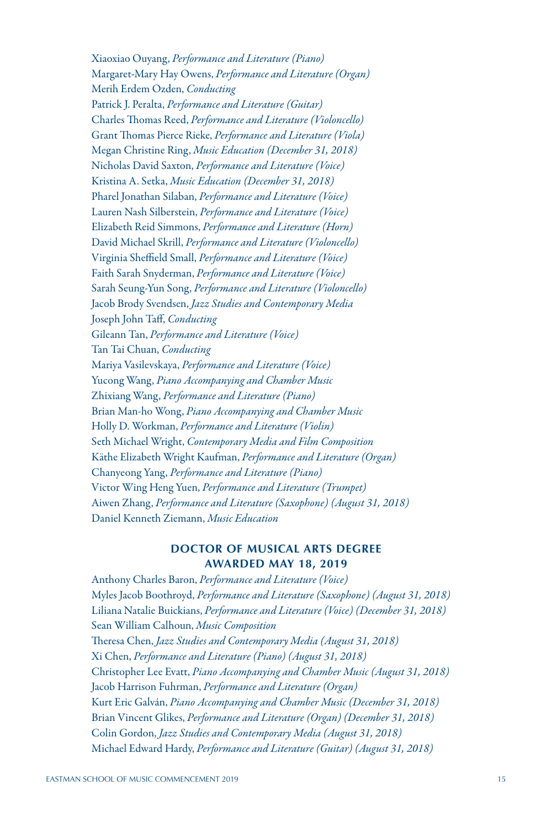Xiaoxiao Ouyang, *Performance and Literature (Piano)* Margaret-Mary Hay Owens, *Performance and Literature (Organ)* Merih Erdem Ozden, *Conducting*  Patrick J. Peralta, *Performance and Literature (Guitar)* Charles Thomas Reed, *Performance and Literature (Violoncello)* Grant Thomas Pierce Rieke, *Performance and Literature (Viola)* Megan Christine Ring, *Music Education (December 31, 2018)* Nicholas David Saxton, *Performance and Literature (Voice)* Kristina A. Setka, *Music Education (December 31, 2018)* Pharel Jonathan Silaban, *Performance and Literature (Voice)* Lauren Nash Silberstein, *Performance and Literature (Voice)* Elizabeth Reid Simmons, *Performance and Literature (Horn)* David Michael Skrill, *Performance and Literature (Violoncello)* Virginia Sheffield Small, *Performance and Literature (Voice)* Faith Sarah Snyderman, *Performance and Literature (Voice)* Sarah Seung-Yun Song, *Performance and Literature (Violoncello)* Jacob Brody Svendsen, *Jazz Studies and Contemporary Media*  Joseph John Taff, *Conducting*  Gileann Tan, *Performance and Literature (Voice)* Tan Tai Chuan, *Conducting*  Mariya Vasilevskaya, *Performance and Literature (Voice)* Yucong Wang, *Piano Accompanying and Chamber Music*  Zhixiang Wang, *Performance and Literature (Piano)* Brian Man-ho Wong, *Piano Accompanying and Chamber Music*  Holly D. Workman, *Performance and Literature (Violin)* Seth Michael Wright, *Contemporary Media and Film Composition*  Käthe Elizabeth Wright Kaufman, *Performance and Literature (Organ)* Chanyeong Yang, *Performance and Literature (Piano)* Victor Wing Heng Yuen, *Performance and Literature (Trumpet)* Aiwen Zhang, *Performance and Literature (Saxophone) (August 31, 2018)* Daniel Kenneth Ziemann, *Music Education* 

## **DOCTOR OF MUSICAL ARTS DEGREE AWARDED MAY 18, 2019**

Anthony Charles Baron, *Performance and Literature (Voice)* Myles Jacob Boothroyd, *Performance and Literature (Saxophone) (August 31, 2018)* Liliana Natalie Buickians, *Performance and Literature (Voice) (December 31, 2018)* Sean William Calhoun, *Music Composition*  Theresa Chen, *Jazz Studies and Contemporary Media (August 31, 2018)* Xi Chen, *Performance and Literature (Piano) (August 31, 2018)* Christopher Lee Evatt, *Piano Accompanying and Chamber Music (August 31, 2018)* Jacob Harrison Fuhrman, *Performance and Literature (Organ)* Kurt Eric Galván, *Piano Accompanying and Chamber Music (December 31, 2018)* Brian Vincent Glikes, *Performance and Literature (Organ) (December 31, 2018)* Colin Gordon, *Jazz Studies and Contemporary Media (August 31, 2018)*  Michael Edward Hardy, *Performance and Literature (Guitar) (August 31, 2018)*